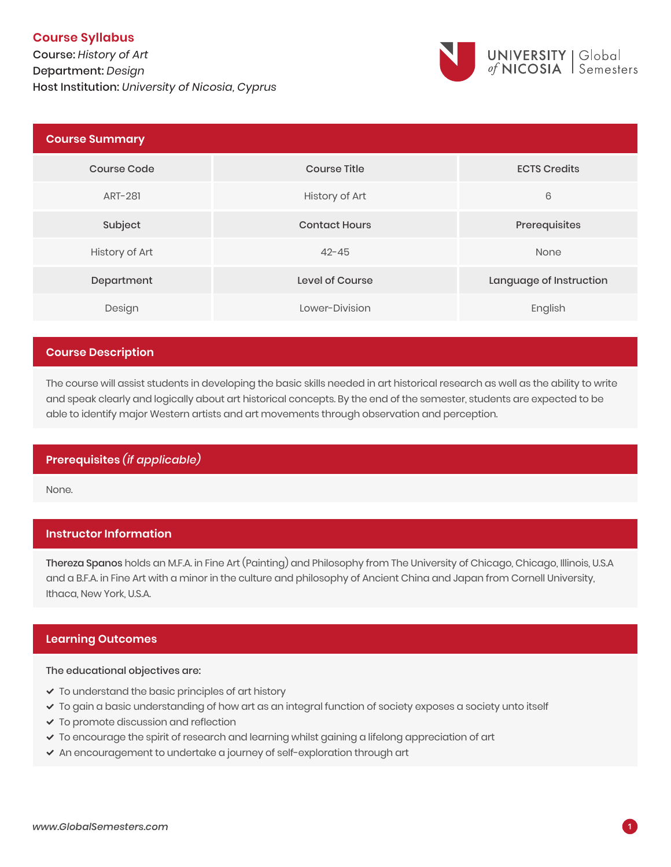# **Course Syllabus**

Course: *History of Art* Department: *Design* **1** Host Institution: *University of Nicosia, Cyprus*



| <b>Course Summary</b> |                      |                         |
|-----------------------|----------------------|-------------------------|
| <b>Course Code</b>    | <b>Course Title</b>  | <b>ECTS Credits</b>     |
| ART-281               | History of Art       | 6                       |
| Subject               | <b>Contact Hours</b> | Prerequisites           |
| History of Art        | $42 - 45$            | None                    |
| Department            | Level of Course      | Language of Instruction |
| Design                | Lower-Division       | English                 |

## **Course Description**

The course will assist students in developing the basic skills needed in art historical research as well as the ability to write and speak clearly and logically about art historical concepts. By the end of the semester, students are expected to be able to identify major Western artists and art movements through observation and perception.

## **Prerequisites** *(if applicable)*

None.

## **Instructor Information**

Thereza Spanos holds an M.F.A. in Fine Art (Painting) and Philosophy from The University of Chicago, Chicago, Illinois, U.S.A and a B.F.A. in Fine Art with a minor in the culture and philosophy of Ancient China and Japan from Cornell University, Ithaca, New York, U.S.A.

## **Learning Outcomes**

#### The educational objectives are:

- $\checkmark$  To understand the basic principles of art history
- To gain a basic understanding of how art as an integral function of society exposes a society unto itself
- To promote discussion and reflection
- $\checkmark$  To encourage the spirit of research and learning whilst gaining a lifelong appreciation of art
- An encouragement to undertake a journey of self-exploration through art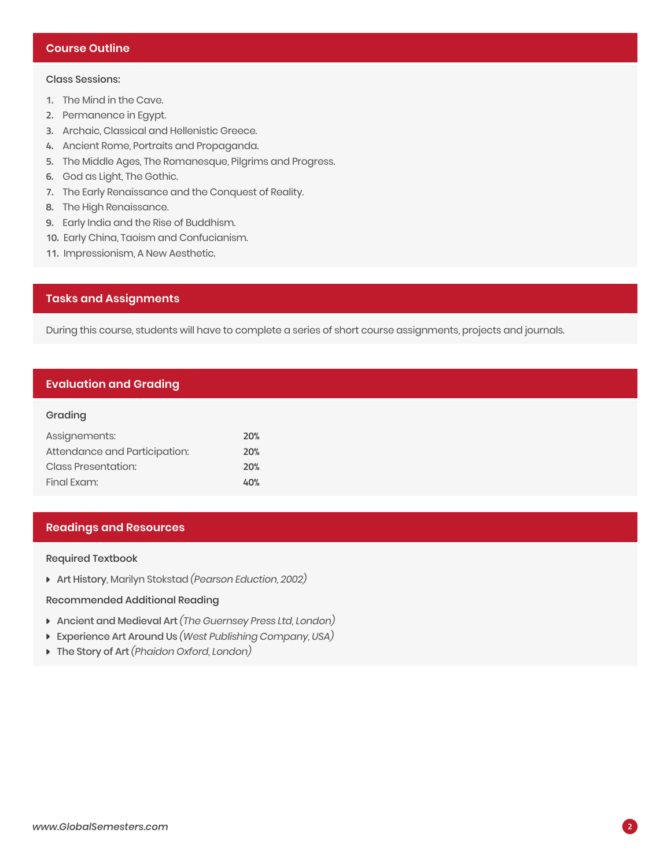## **Course Outline**

### Class Sessions:

- **1.** The Mind in the Cave.
- **2.** Permanence in Egypt.
- **3.** Archaic, Classical and Hellenistic Greece.
- **4.** Ancient Rome, Portraits and Propaganda.
- **5.** The Middle Ages, The Romanesque, Pilgrims and Progress.
- **6.** God as Light, The Gothic.
- **7.** The Early Renaissance and the Conquest of Reality.
- **8.** The High Renaissance.
- **9.** Early India and the Rise of Buddhism.
- **10.** Early China, Taoism and Confucianism.
- **11.** Impressionism, A New Aesthetic.

### **Tasks and Assignments**

During this course, students will have to complete a series of short course assignments, projects and journals.

### **Evaluation and Grading**

#### Grading

| Assignements:                 | <b>20%</b> |
|-------------------------------|------------|
| Attendance and Participation: | 20%        |
| <b>Class Presentation:</b>    | 20%        |
| Final Exam:                   | 40%        |

### **Readings and Resources**

Required Textbook

Art History, Marilyn Stokstad *(Pearson Eduction, 2002)*

#### Recommended Additional Reading

- Ancient and Medieval Art *(The Guernsey Press Ltd, London)*
- Experience Art Around Us *(West Publishing Company, USA)*
- The Story of Art *(Phaidon Oxford, London)*